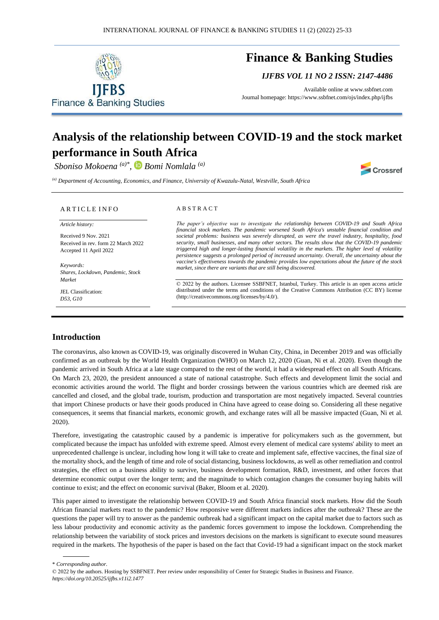

# **Finance & Banking Studies**

*IJFBS VOL 11 NO 2 ISSN: 2147-4486*

Available online at [www.ssbfnet.com](http://www.ssbfnet.com/) Journal homepage: https://www.ssbfnet.com/ojs/index.php/ijfbs

# **Analysis of the relationship between COVID-19 and the stock market performance in South Africa**

*Sboniso Mokoena (a)\* , Bomi Nomlala (a)*

Crossref

*(a) Department of Accounting, Economics, and Finance, University of Kwazulu-Natal, Westville, South Africa*

#### ARTICLE INFO

*Article history:* 

Received 9 Nov. 2021 Received in rev. form 22 March 2022 Accepted 11 April 2022

*Keywords: Shares, Lockdown, Pandemic, Stock Market*

JEL Classification: *D53, G10*

#### A B S T R A C T

*The paper's objective was to investigate the relationship between COVID-19 and South Africa financial stock markets. The pandemic worsened South Africa's unstable financial condition and societal problems: business was severely disrupted, as were the travel industry, hospitality, food security, small businesses, and many other sectors. The results show that the COVID-19 pandemic triggered high and longer-lasting financial volatility in the markets. The higher level of volatility persistence suggests a prolonged period of increased uncertainty. Overall, the uncertainty about the vaccine's effectiveness towards the pandemic provides low expectations about the future of the stock market, since there are variants that are still being discovered.*

© 2022 by the authors. Licensee SSBFNET, Istanbul, Turkey. This article is an open access article distributed under the terms and conditions of the Creative Commons Attribution (CC BY) license (http://creativecommons.org/licenses/by/4.0/).

## **Introduction**

The coronavirus, also known as COVID-19, was originally discovered in Wuhan City, China, in December 2019 and was officially confirmed as an outbreak by the World Health Organization (WHO) on March 12, 2020 (Guan, Ni et al. 2020). Even though the pandemic arrived in South Africa at a late stage compared to the rest of the world, it had a widespread effect on all South Africans. On March 23, 2020, the president announced a state of national catastrophe. Such effects and development limit the social and economic activities around the world. The flight and border crossings between the various countries which are deemed risk are cancelled and closed, and the global trade, tourism, production and transportation are most negatively impacted. Several countries that import Chinese products or have their goods produced in China have agreed to cease doing so. Considering all these negative consequences, it seems that financial markets, economic growth, and exchange rates will all be massive impacted (Guan, Ni et al. 2020).

Therefore, investigating the catastrophic caused by a pandemic is imperative for policymakers such as the government, but complicated because the impact has unfolded with extreme speed. Almost every element of medical care systems' ability to meet an unprecedented challenge is unclear, including how long it will take to create and implement safe, effective vaccines, the final size of the mortality shock, and the length of time and role of social distancing, business lockdowns, as well as other remediation and control strategies, the effect on a business ability to survive, business development formation, R&D, investment, and other forces that determine economic output over the longer term; and the magnitude to which contagion changes the consumer buying habits will continue to exist; and the effect on economic survival (Baker, Bloom et al. 2020).

This paper aimed to investigate the relationship between COVID-19 and South Africa financial stock markets. How did the South African financial markets react to the pandemic? How responsive were different markets indices after the outbreak? These are the questions the paper will try to answer as the pandemic outbreak had a significant impact on the capital market due to factors such as less labour productivity and economic activity as the pandemic forces government to impose the lockdown. Comprehending the relationship between the variability of stock prices and investors decisions on the markets is significant to execute sound measures required in the markets. The hypothesis of the paper is based on the fact that Covid-19 had a significant impact on the stock market

\* *Corresponding author.* 

<sup>© 2022</sup> by the authors. Hosting by SSBFNET. Peer review under responsibility of Center for Strategic Studies in Business and Finance. *https://doi.org/10.20525/ijfbs.v11i2.1477*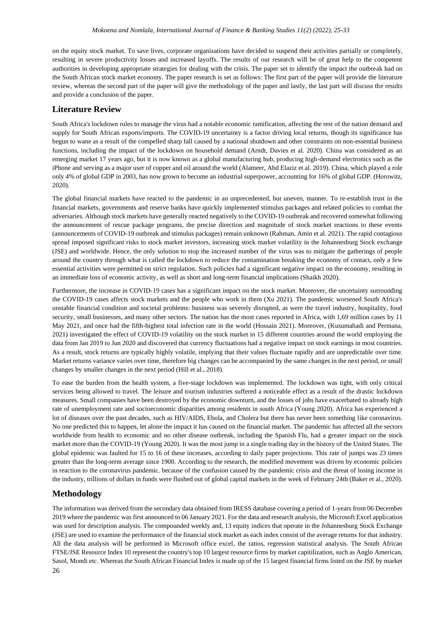on the equity stock market. To save lives, corporate organizations have decided to suspend their activities partially or completely, resulting in severe productivity losses and increased layoffs. The results of our research will be of great help to the competent authorities in developing appropriate strategies for dealing with the crisis. The paper set to identify the impact the outbreak had on the South African stock market economy. The paper research is set as follows: The first part of the paper will provide the literature review, whereas the second part of the paper will give the methodology of the paper and lastly, the last part will discuss the results and provide a conclusion of the paper.

# **Literature Review**

South Africa's lockdown rules to manage the virus had a notable economic ramification, affecting the rest of the nation demand and supply for South African exports/imports. The COVID-19 uncertainty is a factor driving local returns, though its significance has begun to wane as a result of the compelled sharp fall caused by a national shutdown and other constraints on non-essential business functions, including the impact of the lockdown on household demand (Arndt, Davies et al. 2020). China was considered as an emerging market 17 years ago, but it is now known as a global manufacturing hub, producing high-demand electronics such as the iPhone and serving as a major user of copper and oil around the world (Alameer, Abd Elaziz et al. 2019). China, which played a role only 4% of global GDP in 2003, has now grown to become an industrial superpower, accounting for 16% of global GDP. (Horowitz, 2020).

The global financial markets have reacted to the pandemic in an unprecedented, but uneven, manner. To re-establish trust in the financial markets, governments and reserve banks have quickly implemented stimulus packages and related policies to combat the adversaries. Although stock markets have generally reacted negatively to the COVID-19 outbreak and recovered somewhat following the announcement of rescue package programs, the precise direction and magnitude of stock market reactions to these events (announcements of COVID-19 outbreak and stimulus packages) remain unknown (Rahman, Amin et al. 2021). The rapid contagious spread imposed significant risks to stock market investors, increasing stock market volatility in the Johannesburg Stock exchange (JSE) and worldwide. Hence, the only solution to stop the increased number of the virus was to mitigate the gatherings of people around the country through what is called the lockdown to reduce the contamination breaking the economy of contact, only a few essential activities were permitted on strict regulation. Such policies had a significant negative impact on the economy, resulting in an immediate loss of economic activity, as well as short and long-term financial implications (Shaikh 2020).

Furthermore, the increase in COVID-19 cases has a significant impact on the stock market. Moreover, the uncertainty surrounding the COVID-19 cases affects stock markets and the people who work in them (Xu 2021). The pandemic worsened South Africa's unstable financial condition and societal problems: business was severely disrupted, as were the travel industry, hospitality, food security, small businesses, and many other sectors. The nation has the most cases reported in Africa, with 1,69 million cases by 11 May 2021, and once had the fifth-highest total infection rate in the world (Hossain 2021). Moreover, (Kusumahadi and Permana, 2021) investigated the effect of COVID-19 volatility on the stock market in 15 different countries around the world employing the data from Jan 2019 to Jun 2020 and discovered that currency fluctuations had a negative impact on stock earnings in most countries. As a result, stock returns are typically highly volatile, implying that their values fluctuate rapidly and are unpredictable over time. Market returns variance varies over time, therefore big changes can be accompanied by the same changes in the next period, or small changes by smaller changes in the next period (Hill et al., 2018).

To ease the burden from the health system, a five-stage lockdown was implemented. The lockdown was tight, with only critical services being allowed to travel. The leisure and tourism industries suffered a noticeable effect as a result of the drastic lockdown measures. Small companies have been destroyed by the economic downturn, and the losses of jobs have exacerbated to already high rate of unemployment rate and socioeconomic disparities among residents in south Africa (Young 2020). Africa has experienced a lot of diseases over the past decades, such as HIV/AIDS, Ebola, and Cholera but there has never been something like coronavirus. No one predicted this to happen, let alone the impact it has caused on the financial market. The pandemic has affected all the sectors worldwide from health to economic and no other disease outbreak, including the Spanish Flu, had a greater impact on the stock market more than the COVID-19 (Young 2020). It was the most jump in a single trading day in the history of the United States. The global epidemic was faulted for 15 to 16 of these increases, according to daily paper projections. This rate of jumps was 23 times greater than the long-term average since 1900. According to the research, the modified movement was driven by economic policies in reaction to the coronavirus pandemic. because of the confusion caused by the pandemic crisis and the threat of losing income in the industry, trillions of dollars in funds were flushed out of global capital markets in the week of February 24th (Baker et al., 2020).

## **Methodology**

The information was derived from the secondary data obtained from IRESS database covering a period of 1-years from 06 December 2019 where the pandemic was first announced to 06 January 2021. For the data and research analysis, the Microsoft Excel application was used for description analysis. The compounded weekly and, 13 equity indices that operate in the Johannesburg Stock Exchange (JSE) are used to examine the performance of the financial stock market as each index consist of the average returns for that industry. All the data analysis will be performed in Microsoft office excel, the ratios, regression statistical analysis. The South African FTSE/JSE Resource Index 10 represent the country's top 10 largest resource firms by market capitilization, such as Anglo American, Sasol, Mondi etc. Whereas the South African Financial Index is made up of the 15 largest financial firms listed on the JSE by market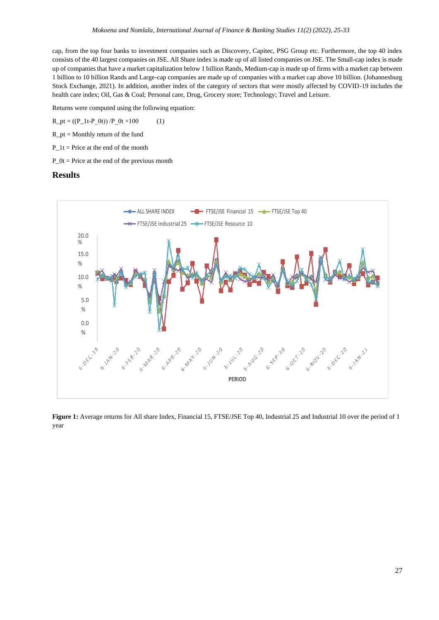cap, from the top four banks to investment companies such as Discovery, Capitec, PSG Group etc. Furthermore, the top 40 index consists of the 40 largest companies on JSE. All Share index is made up of all listed companies on JSE. The Small-cap index is made up of companies that have a market capitalization below 1 billion Rands, Medium-cap is made up of firms with a market cap between 1 billion to 10 billion Rands and Large-cap companies are made up of companies with a market cap above 10 billion. (Johannesburg Stock Exchange, 2021). In addition, another index of the category of sectors that were mostly affected by COVID-19 includes the health care index; Oil, Gas & Coal; Personal care, Drug, Grocery store; Technology; Travel and Leisure.

Returns were computed using the following equation:

 $R_{p}t = ((P_{p}1t-P_{p}0t))/P_{p}0t \times 100$  (1)

 $R_{pt}$  = Monthly return of the fund

 $P_1t$  = Price at the end of the month

 $P_0t$  = Price at the end of the previous month

## **Results**



**Figure 1:** Average returns for All share Index, Financial 15, FTSE/JSE Top 40, Industrial 25 and Industrial 10 over the period of 1 year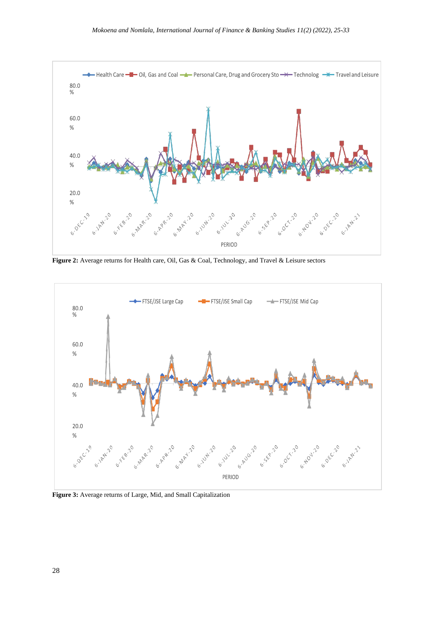

**Figure 2:** Average returns for Health care, Oil, Gas & Coal, Technology, and Travel & Leisure sectors



**Figure 3:** Average returns of Large, Mid, and Small Capitalization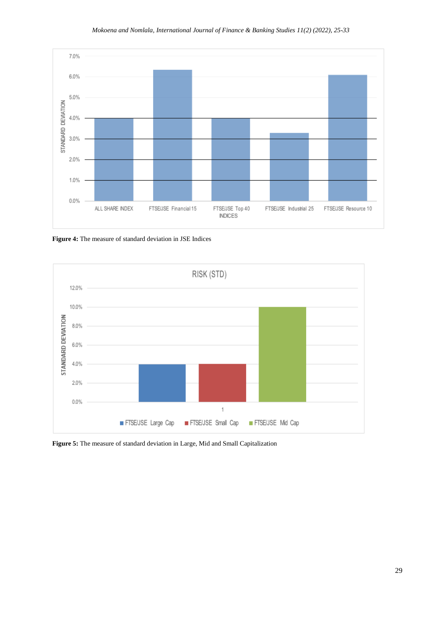

**Figure 4:** The measure of standard deviation in JSE Indices



**Figure 5:** The measure of standard deviation in Large, Mid and Small Capitalization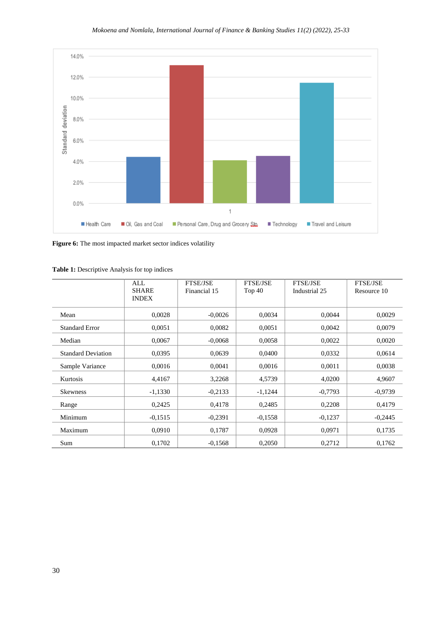

Figure 6: The most impacted market sector indices volatility

|                           | ALL<br><b>SHARE</b><br><b>INDEX</b> | <b>FTSE/JSE</b><br>Financial 15 | <b>FTSE/JSE</b><br>Top $40$ | <b>FTSE/JSE</b><br>Industrial 25 | <b>FTSE/JSE</b><br>Resource 10 |
|---------------------------|-------------------------------------|---------------------------------|-----------------------------|----------------------------------|--------------------------------|
| Mean                      | 0,0028                              | $-0,0026$                       | 0,0034                      | 0,0044                           | 0,0029                         |
| <b>Standard Error</b>     | 0,0051                              | 0,0082                          | 0,0051                      | 0,0042                           | 0,0079                         |
| Median                    | 0,0067                              | $-0,0068$                       | 0,0058                      | 0,0022                           | 0,0020                         |
| <b>Standard Deviation</b> | 0,0395                              | 0,0639                          | 0,0400                      | 0,0332                           | 0,0614                         |
| Sample Variance           | 0.0016                              | 0,0041                          | 0,0016                      | 0,0011                           | 0,0038                         |
| Kurtosis                  | 4.4167                              | 3,2268                          | 4,5739                      | 4,0200                           | 4.9607                         |
| <b>Skewness</b>           | $-1,1330$                           | $-0,2133$                       | $-1,1244$                   | $-0,7793$                        | $-0,9739$                      |
| Range                     | 0,2425                              | 0,4178                          | 0,2485                      | 0,2208                           | 0,4179                         |
| Minimum                   | $-0.1515$                           | $-0,2391$                       | $-0.1558$                   | $-0,1237$                        | $-0,2445$                      |
| Maximum                   | 0,0910                              | 0,1787                          | 0,0928                      | 0,0971                           | 0,1735                         |
| Sum                       | 0,1702                              | $-0,1568$                       | 0,2050                      | 0,2712                           | 0,1762                         |

**Table 1:** Descriptive Analysis for top indices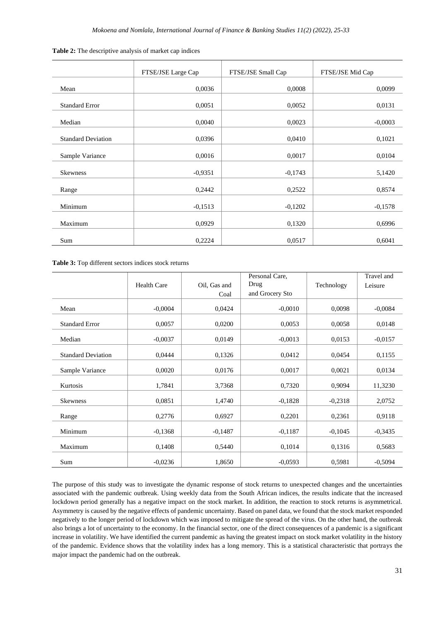|                           | FTSE/JSE Large Cap | FTSE/JSE Small Cap | FTSE/JSE Mid Cap |
|---------------------------|--------------------|--------------------|------------------|
| Mean                      | 0,0036             | 0,0008             | 0,0099           |
| <b>Standard Error</b>     | 0,0051             | 0,0052             | 0,0131           |
| Median                    | 0,0040             | 0,0023             | $-0,0003$        |
| <b>Standard Deviation</b> | 0,0396             | 0,0410             | 0,1021           |
| Sample Variance           | 0,0016             | 0,0017             | 0,0104           |
| <b>Skewness</b>           | $-0,9351$          | $-0,1743$          | 5,1420           |
|                           |                    |                    |                  |
| Range                     | 0,2442             | 0,2522             | 0,8574           |
| Minimum                   | $-0,1513$          | $-0,1202$          | $-0,1578$        |
| Maximum                   | 0,0929             | 0,1320             | 0,6996           |
| Sum                       | 0,2224             | 0,0517             | 0,6041           |

| Table 2: The descriptive analysis of market cap indices |  |  |  |  |
|---------------------------------------------------------|--|--|--|--|
|                                                         |  |  |  |  |

**Table 3:** Top different sectors indices stock returns

|                           |                    |              | Personal Care.  |            | Travel and |
|---------------------------|--------------------|--------------|-----------------|------------|------------|
|                           | <b>Health Care</b> | Oil, Gas and | Drug            | Technology | Leisure    |
|                           |                    | Coal         | and Grocery Sto |            |            |
| Mean                      | $-0,0004$          | 0,0424       | $-0,0010$       | 0,0098     | $-0,0084$  |
| <b>Standard Error</b>     | 0,0057             | 0,0200       | 0,0053          | 0,0058     | 0,0148     |
| Median                    | $-0,0037$          | 0,0149       | $-0,0013$       | 0.0153     | $-0.0157$  |
| <b>Standard Deviation</b> | 0,0444             | 0,1326       | 0,0412          | 0,0454     | 0,1155     |
| Sample Variance           | 0,0020             | 0,0176       | 0,0017          | 0,0021     | 0.0134     |
| Kurtosis                  | 1,7841             | 3,7368       | 0,7320          | 0,9094     | 11,3230    |
| <b>Skewness</b>           | 0,0851             | 1,4740       | $-0,1828$       | $-0,2318$  | 2,0752     |
| Range                     | 0,2776             | 0,6927       | 0,2201          | 0,2361     | 0,9118     |
| Minimum                   | $-0,1368$          | $-0,1487$    | $-0,1187$       | $-0,1045$  | $-0,3435$  |
| Maximum                   | 0,1408             | 0,5440       | 0,1014          | 0,1316     | 0,5683     |
| Sum                       | $-0,0236$          | 1,8650       | $-0.0593$       | 0,5981     | $-0,5094$  |

The purpose of this study was to investigate the dynamic response of stock returns to unexpected changes and the uncertainties associated with the pandemic outbreak. Using weekly data from the South African indices, the results indicate that the increased lockdown period generally has a negative impact on the stock market. In addition, the reaction to stock returns is asymmetrical. Asymmetry is caused by the negative effects of pandemic uncertainty. Based on panel data, we found that the stock market responded negatively to the longer period of lockdown which was imposed to mitigate the spread of the virus. On the other hand, the outbreak also brings a lot of uncertainty to the economy. In the financial sector, one of the direct consequences of a pandemic is a significant increase in volatility. We have identified the current pandemic as having the greatest impact on stock market volatility in the history of the pandemic. Evidence shows that the volatility index has a long memory. This is a statistical characteristic that portrays the major impact the pandemic had on the outbreak.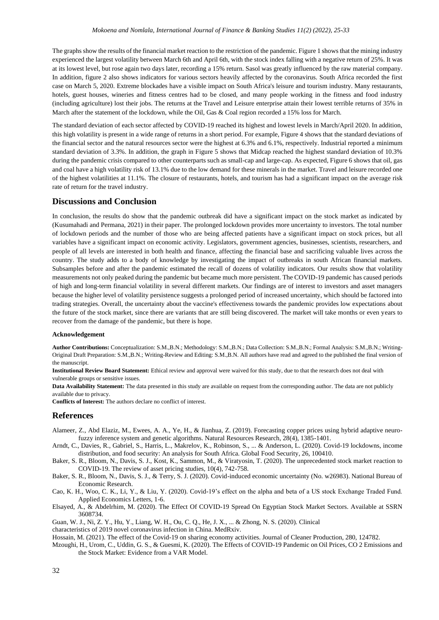The graphs show the results of the financial market reaction to the restriction of the pandemic. Figure 1 shows that the mining industry experienced the largest volatility between March 6th and April 6th, with the stock index falling with a negative return of 25%. It was at its lowest level, but rose again two days later, recording a 15% return. Sasol was greatly influenced by the raw material company. In addition, figure 2 also shows indicators for various sectors heavily affected by the coronavirus. South Africa recorded the first case on March 5, 2020. Extreme blockades have a visible impact on South Africa's leisure and tourism industry. Many restaurants, hotels, guest houses, wineries and fitness centres had to be closed, and many people working in the fitness and food industry (including agriculture) lost their jobs. The returns at the Travel and Leisure enterprise attain their lowest terrible returns of 35% in March after the statement of the lockdown, while the Oil, Gas & Coal region recorded a 15% loss for March.

The standard deviation of each sector affected by COVID-19 reached its highest and lowest levels in March/April 2020. In addition, this high volatility is present in a wide range of returns in a short period. For example, Figure 4 shows that the standard deviations of the financial sector and the natural resources sector were the highest at 6.3% and 6.1%, respectively. Industrial reported a minimum standard deviation of 3.3%. In addition, the graph in Figure 5 shows that Midcap reached the highest standard deviation of 10.3% during the pandemic crisis compared to other counterparts such as small-cap and large-cap. As expected, Figure 6 shows that oil, gas and coal have a high volatility risk of 13.1% due to the low demand for these minerals in the market. Travel and leisure recorded one of the highest volatilities at 11.1%. The closure of restaurants, hotels, and tourism has had a significant impact on the average risk rate of return for the travel industry.

### **Discussions and Conclusion**

In conclusion, the results do show that the pandemic outbreak did have a significant impact on the stock market as indicated by (Kusumahadi and Permana, 2021) in their paper. The prolonged lockdown provides more uncertainty to investors. The total number of lockdown periods and the number of those who are being affected patients have a significant impact on stock prices, but all variables have a significant impact on economic activity. Legislators, government agencies, businesses, scientists, researchers, and people of all levels are interested in both health and finance, affecting the financial base and sacrificing valuable lives across the country. The study adds to a body of knowledge by investigating the impact of outbreaks in south African financial markets. Subsamples before and after the pandemic estimated the recall of dozens of volatility indicators. Our results show that volatility measurements not only peaked during the pandemic but became much more persistent. The COVID-19 pandemic has caused periods of high and long-term financial volatility in several different markets. Our findings are of interest to investors and asset managers because the higher level of volatility persistence suggests a prolonged period of increased uncertainty, which should be factored into trading strategies. Overall, the uncertainty about the vaccine's effectiveness towards the pandemic provides low expectations about the future of the stock market, since there are variants that are still being discovered. The market will take months or even years to recover from the damage of the pandemic, but there is hope.

#### **Acknowledgement**

**Author Contributions:** Conceptualization: S.M.,B.N.; Methodology: S.M.,B.N.; Data Collection: S.M.,B.N.; Formal Analysis: S.M.,B.N.; Writing-Original Draft Preparation: S.M.,B.N.; Writing-Review and Editing: S.M.,B.N. All authors have read and agreed to the published the final version of the manuscript.

**Institutional Review Board Statement:** Ethical review and approval were waived for this study, due to that the research does not deal with vulnerable groups or sensitive issues.

**Data Availability Statement:** The data presented in this study are available on request from the corresponding author. The data are not publicly available due to privacy.

**Conflicts of Interest:** The authors declare no conflict of interest.

### **References**

- Alameer, Z., Abd Elaziz, M., Ewees, A. A., Ye, H., & Jianhua, Z. (2019). Forecasting copper prices using hybrid adaptive neurofuzzy inference system and genetic algorithms. Natural Resources Research, 28(4), 1385-1401.
- Arndt, C., Davies, R., Gabriel, S., Harris, L., Makrelov, K., Robinson, S., ... & Anderson, L. (2020). Covid-19 lockdowns, income distribution, and food security: An analysis for South Africa. Global Food Security, 26, 100410.
- Baker, S. R., Bloom, N., Davis, S. J., Kost, K., Sammon, M., & Viratyosin, T. (2020). The unprecedented stock market reaction to COVID-19. The review of asset pricing studies, 10(4), 742-758.
- Baker, S. R., Bloom, N., Davis, S. J., & Terry, S. J. (2020). Covid-induced economic uncertainty (No. w26983). National Bureau of Economic Research.
- Cao, K. H., Woo, C. K., Li, Y., & Liu, Y. (2020). Covid-19's effect on the alpha and beta of a US stock Exchange Traded Fund. Applied Economics Letters, 1-6.
- Elsayed, A., & Abdelrhim, M. (2020). The Effect Of COVID-19 Spread On Egyptian Stock Market Sectors. Available at SSRN 3608734.

Guan, W. J., Ni, Z. Y., Hu, Y., Liang, W. H., Ou, C. Q., He, J. X., ... & Zhong, N. S. (2020). Clinical

characteristics of 2019 novel coronavirus infection in China. MedRxiv.

Hossain, M. (2021). The effect of the Covid-19 on sharing economy activities. Journal of Cleaner Production, 280, 124782.

Mzoughi, H., Urom, C., Uddin, G. S., & Guesmi, K. (2020). The Effects of COVID-19 Pandemic on Oil Prices, CO 2 Emissions and the Stock Market: Evidence from a VAR Model.